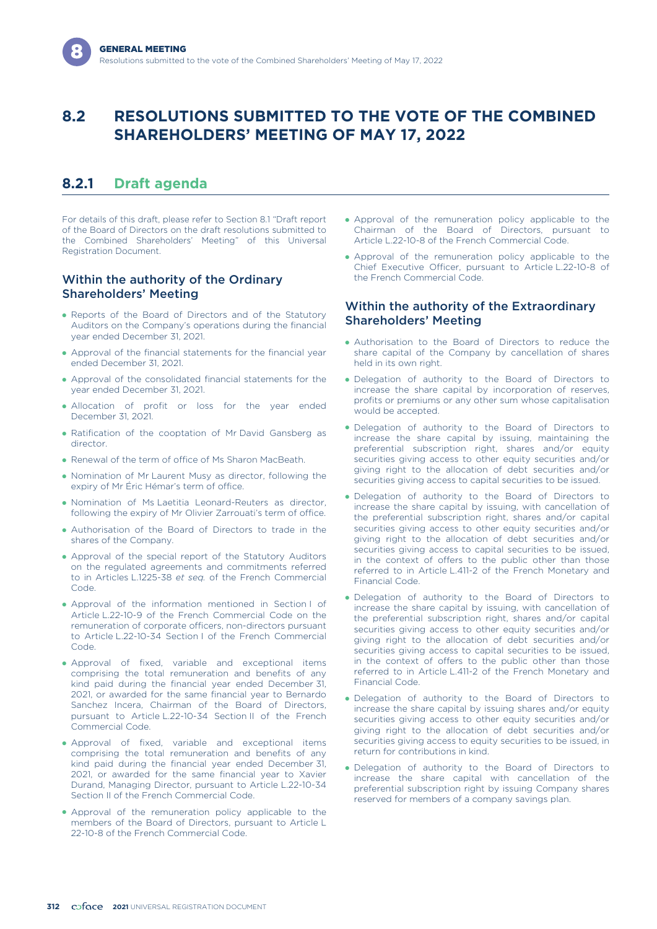# **8.2 RESOLUTIONS SUBMITTED TO THE VOTE OF THE COMBINED SHAREHOLDERS' MEETING OF MAY 17, 2022**

## **8.2.1 Draft agenda**

For details of this draft, please refer to Section 8.1 "Draft report of the Board of Directors on the draft resolutions submitted to the Combined Shareholders' Meeting" of this Universal Registration Document.

## Within the authority of the Ordinary Shareholders' Meeting

- Reports of the Board of Directors and of the Statutory Auditors on the Company's operations during the financial year ended December 31, 2021.
- Approval of the financial statements for the financial year ended December 31, 2021.
- Approval of the consolidated financial statements for the year ended December 31, 2021.
- Allocation of profit or loss for the year ended December 31, 2021.
- Ratification of the cooptation of Mr David Gansberg as director.
- Renewal of the term of office of Ms Sharon MacBeath.
- Nomination of Mr Laurent Musy as director, following the expiry of Mr Éric Hémar's term of office.
- Nomination of Ms Laetitia Leonard-Reuters as director, following the expiry of Mr Olivier Zarrouati's term of office.
- Authorisation of the Board of Directors to trade in the shares of the Company.
- Approval of the special report of the Statutory Auditors on the regulated agreements and commitments referred to in Articles L.1225-38 *et seq.* of the French Commercial Code.
- Approval of the information mentioned in Section I of Article L.22-10-9 of the French Commercial Code on the remuneration of corporate officers, non-directors pursuant to Article L.22-10-34 Section I of the French Commercial Code.
- Approval of fixed, variable and exceptional items comprising the total remuneration and benefits of any kind paid during the financial year ended December 31, 2021, or awarded for the same financial year to Bernardo Sanchez Incera, Chairman of the Board of Directors, pursuant to Article L.22-10-34 Section II of the French Commercial Code.
- Approval of fixed, variable and exceptional items comprising the total remuneration and benefits of any kind paid during the financial year ended December 31, 2021, or awarded for the same financial year to Xavier Durand, Managing Director, pursuant to Article L.22-10-34 Section II of the French Commercial Code.
- Approval of the remuneration policy applicable to the members of the Board of Directors, pursuant to Article L 22-10-8 of the French Commercial Code.
- Approval of the remuneration policy applicable to the Chairman of the Board of Directors, pursuant to Article L.22-10-8 of the French Commercial Code.
- Approval of the remuneration policy applicable to the Chief Executive Officer, pursuant to Article L.22-10-8 of the French Commercial Code.

## Within the authority of the Extraordinary Shareholders' Meeting

- Authorisation to the Board of Directors to reduce the share capital of the Company by cancellation of shares held in its own right.
- Delegation of authority to the Board of Directors to increase the share capital by incorporation of reserves, profits or premiums or any other sum whose capitalisation would be accepted.
- Delegation of authority to the Board of Directors to increase the share capital by issuing, maintaining the preferential subscription right, shares and/or equity securities giving access to other equity securities and/or giving right to the allocation of debt securities and/or securities giving access to capital securities to be issued.
- Delegation of authority to the Board of Directors to increase the share capital by issuing, with cancellation of the preferential subscription right, shares and/or capital securities giving access to other equity securities and/or giving right to the allocation of debt securities and/or securities giving access to capital securities to be issued, in the context of offers to the public other than those referred to in Article L.411-2 of the French Monetary and Financial Code.
- Delegation of authority to the Board of Directors to increase the share capital by issuing, with cancellation of the preferential subscription right, shares and/or capital securities giving access to other equity securities and/or giving right to the allocation of debt securities and/or securities giving access to capital securities to be issued, in the context of offers to the public other than those referred to in Article L.411-2 of the French Monetary and Financial Code.
- Delegation of authority to the Board of Directors to increase the share capital by issuing shares and/or equity securities giving access to other equity securities and/or giving right to the allocation of debt securities and/or securities giving access to equity securities to be issued, in return for contributions in kind.
- Delegation of authority to the Board of Directors to increase the share capital with cancellation of the preferential subscription right by issuing Company shares reserved for members of a company savings plan.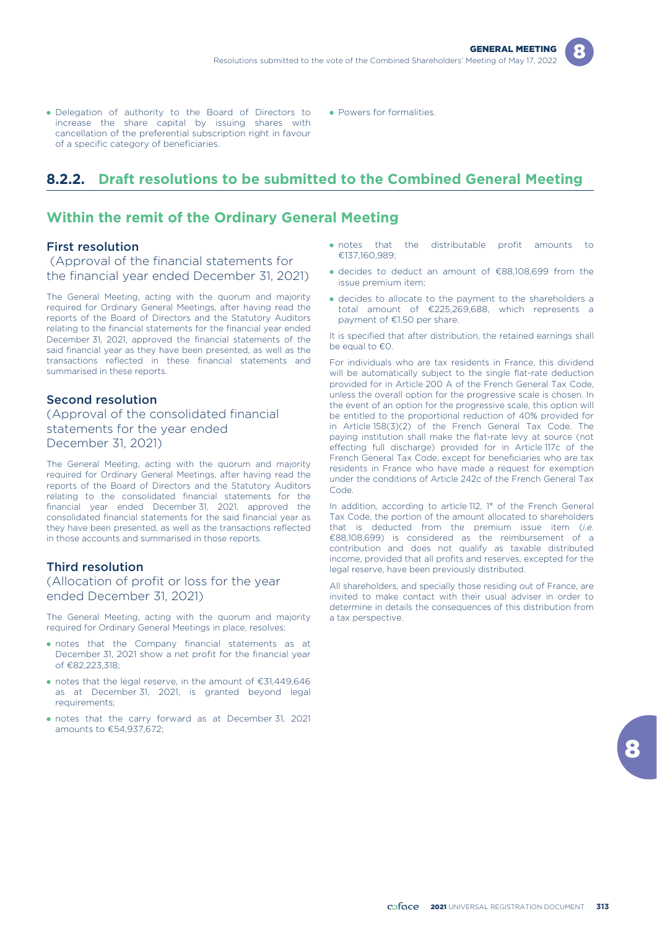- Delegation of authority to the Board of Directors to increase the share capital by issuing shares with cancellation of the preferential subscription right in favour of a specific category of beneficiaries.
- Powers for formalities.

# **8.2.2. Draft resolutions to be submitted to the Combined General Meeting**

## **Within the remit of the Ordinary General Meeting**

#### First resolution

(Approval of the financial statements for the financial year ended December 31, 2021)

The General Meeting, acting with the quorum and majority required for Ordinary General Meetings, after having read the reports of the Board of Directors and the Statutory Auditors relating to the financial statements for the financial year ended December 31, 2021, approved the financial statements of the said financial year as they have been presented, as well as the transactions reflected in these financial statements and summarised in these reports.

#### Second resolution

(Approval of the consolidated financial statements for the year ended December 31, 2021)

The General Meeting, acting with the quorum and majority required for Ordinary General Meetings, after having read the reports of the Board of Directors and the Statutory Auditors relating to the consolidated financial statements for the financial year ended December 31, 2021, approved the consolidated financial statements for the said financial year as they have been presented, as well as the transactions reflected in those accounts and summarised in those reports.

#### Third resolution

## (Allocation of profit or loss for the year ended December 31, 2021)

The General Meeting, acting with the quorum and majority required for Ordinary General Meetings in place, resolves:

- notes that the Company financial statements as at December 31, 2021 show a net profit for the financial year of €82,223,318;
- notes that the legal reserve, in the amount of €31,449,646 as at December 31, 2021, is granted beyond legal requirements;
- notes that the carry forward as at December 31, 2021 amounts to  $£54,937,672$ ;
- onotes that the distributable profit amounts to €137,160,989;
- decides to deduct an amount of €88,108,699 from the issue premium item;
- decides to allocate to the payment to the shareholders a total amount of €225,269,688, which represents a payment of €1.50 per share.

It is specified that after distribution, the retained earnings shall be equal to  $€0$ .

For individuals who are tax residents in France, this dividend will be automatically subject to the single flat-rate deduction provided for in Article 200 A of the French General Tax Code, unless the overall option for the progressive scale is chosen. In the event of an option for the progressive scale, this option will be entitled to the proportional reduction of 40% provided for in Article 158(3)(2) of the French General Tax Code. The paying institution shall make the flat-rate levy at source (not effecting full discharge) provided for in Article 117c of the French General Tax Code, except for beneficiaries who are tax residents in France who have made a request for exemption under the conditions of Article 242c of the French General Tax Code.

In addition, according to article 112, 1° of the French General Tax Code, the portion of the amount allocated to shareholders that is deducted from the premium issue item (*i.e.* €88,108,699) is considered as the reimbursement of a contribution and does not qualify as taxable distributed income, provided that all profits and reserves, excepted for the legal reserve, have been previously distributed.

All shareholders, and specially those residing out of France, are invited to make contact with their usual adviser in order to determine in details the consequences of this distribution from a tax perspective.

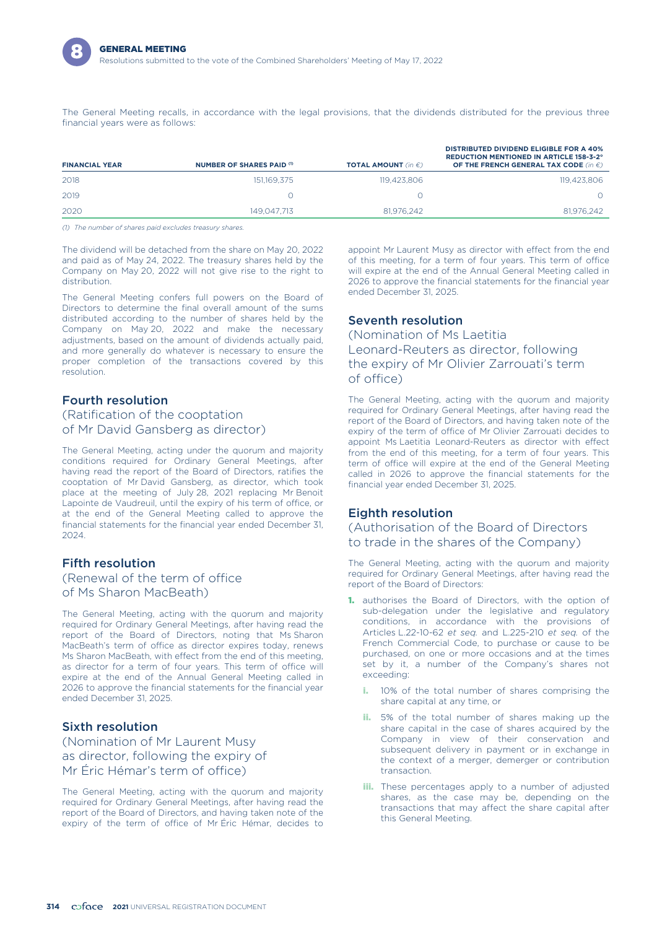

The General Meeting recalls, in accordance with the legal provisions, that the dividends distributed for the previous three financial years were as follows:

| <b>FINANCIAL YEAR</b> | NUMBER OF SHARES PAID (1) | <b>TOTAL AMOUNT</b> (in $\epsilon$ ) | <b>DISTRIBUTED DIVIDEND ELIGIBLE FOR A 40%</b><br><b>REDUCTION MENTIONED IN ARTICLE 158-3-2°</b><br>OF THE FRENCH GENERAL TAX CODE (in $\epsilon$ ) |
|-----------------------|---------------------------|--------------------------------------|-----------------------------------------------------------------------------------------------------------------------------------------------------|
| 2018                  | 151,169,375               | 119.423.806                          | 119.423.806                                                                                                                                         |
| 2019                  |                           |                                      |                                                                                                                                                     |
| 2020                  | 149.047.713               | 81,976,242                           | 81,976,242                                                                                                                                          |

*(1) The number of shares paid excludes treasury shares.*

The dividend will be detached from the share on May 20, 2022 and paid as of May 24, 2022. The treasury shares held by the Company on May 20, 2022 will not give rise to the right to distribution.

The General Meeting confers full powers on the Board of Directors to determine the final overall amount of the sums distributed according to the number of shares held by the Company on May 20, 2022 and make the necessary adjustments, based on the amount of dividends actually paid, and more generally do whatever is necessary to ensure the proper completion of the transactions covered by this resolution.

## Fourth resolution

## (Ratification of the cooptation of Mr David Gansberg as director)

The General Meeting, acting under the quorum and majority conditions required for Ordinary General Meetings, after having read the report of the Board of Directors, ratifies the cooptation of Mr David Gansberg, as director, which took place at the meeting of July 28, 2021 replacing Mr Benoit Lapointe de Vaudreuil, until the expiry of his term of office, or at the end of the General Meeting called to approve the financial statements for the financial year ended December 31, 2024.

## Fifth resolution

## (Renewal of the term of office of Ms Sharon MacBeath)

The General Meeting, acting with the quorum and majority required for Ordinary General Meetings, after having read the report of the Board of Directors, noting that Ms Sharon MacBeath's term of office as director expires today, renews Ms Sharon MacBeath, with effect from the end of this meeting, as director for a term of four years. This term of office will expire at the end of the Annual General Meeting called in 2026 to approve the financial statements for the financial year ended December 31, 2025.

## Sixth resolution

(Nomination of Mr Laurent Musy as director, following the expiry of Mr Éric Hémar's term of office)

The General Meeting, acting with the quorum and majority required for Ordinary General Meetings, after having read the report of the Board of Directors, and having taken note of the expiry of the term of office of Mr Éric Hémar, decides to appoint Mr Laurent Musy as director with effect from the end of this meeting, for a term of four years. This term of office will expire at the end of the Annual General Meeting called in 2026 to approve the financial statements for the financial year ended December 31, 2025.

## Seventh resolution

(Nomination of Ms Laetitia Leonard-Reuters as director, following the expiry of Mr Olivier Zarrouati's term of office)

The General Meeting, acting with the quorum and majority required for Ordinary General Meetings, after having read the report of the Board of Directors, and having taken note of the expiry of the term of office of Mr Olivier Zarrouati decides to appoint Ms Laetitia Leonard-Reuters as director with effect from the end of this meeting, for a term of four years. This term of office will expire at the end of the General Meeting called in 2026 to approve the financial statements for the financial year ended December 31, 2025.

## Eighth resolution

## (Authorisation of the Board of Directors to trade in the shares of the Company)

The General Meeting, acting with the quorum and majority required for Ordinary General Meetings, after having read the report of the Board of Directors:

- 1. authorises the Board of Directors, with the option of sub-delegation under the legislative and regulatory conditions, in accordance with the provisions of Articles L.22-10-62 *et seq.* and L.225-210 *et seq.* of the French Commercial Code, to purchase or cause to be purchased, on one or more occasions and at the times set by it, a number of the Company's shares not exceeding:
	- i. 10% of the total number of shares comprising the share capital at any time, or
	- ii. 5% of the total number of shares making up the share capital in the case of shares acquired by the Company in view of their conservation and subsequent delivery in payment or in exchange in the context of a merger, demerger or contribution transaction.
	- **iii.** These percentages apply to a number of adjusted shares, as the case may be, depending on the transactions that may affect the share capital after this General Meeting.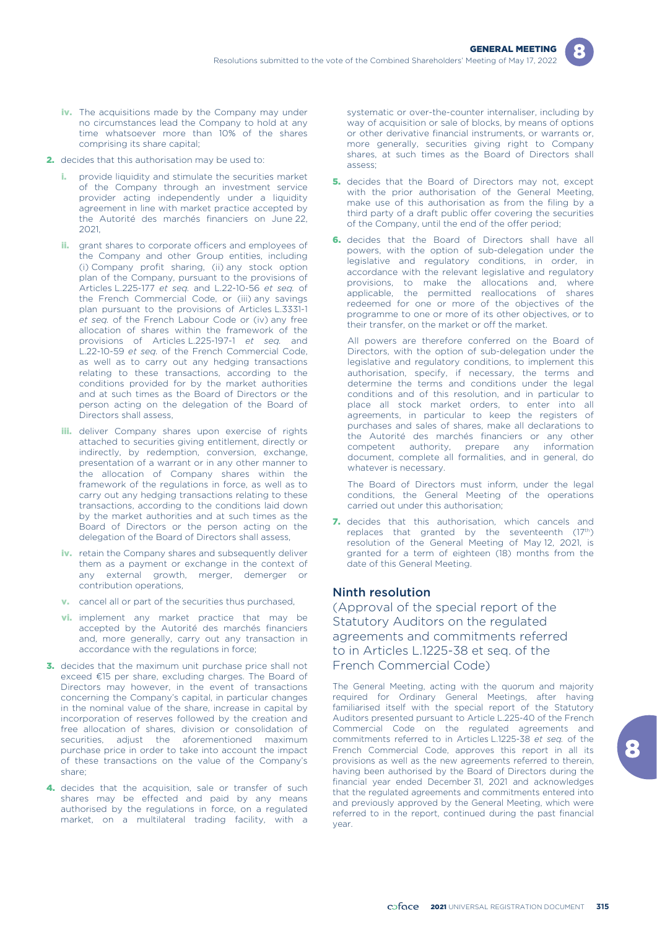

- iv. The acquisitions made by the Company may under no circumstances lead the Company to hold at any time whatsoever more than 10% of the shares comprising its share capital;
- 2. decides that this authorisation may be used to:
	- provide liquidity and stimulate the securities market of the Company through an investment service provider acting independently under a liquidity agreement in line with market practice accepted by the Autorité des marchés financiers on June 22, 2021,
	- ii. grant shares to corporate officers and employees of the Company and other Group entities, including (i) Company profit sharing, (ii) any stock option plan of the Company, pursuant to the provisions of Articles L.225-177 *et seq.* and L.22-10-56 *et seq.* of the French Commercial Code, or (iii) any savings plan pursuant to the provisions of Articles L.3331-1 *et seq.* of the French Labour Code or (iv) any free allocation of shares within the framework of the provisions of Articles L.225-197-1 *et seq.* and L.22-10-59 *et seq.* of the French Commercial Code, as well as to carry out any hedging transactions relating to these transactions, according to the conditions provided for by the market authorities and at such times as the Board of Directors or the person acting on the delegation of the Board of Directors shall assess,
	- **iii.** deliver Company shares upon exercise of rights attached to securities giving entitlement, directly or indirectly, by redemption, conversion, exchange, presentation of a warrant or in any other manner to the allocation of Company shares within the framework of the regulations in force, as well as to carry out any hedging transactions relating to these transactions, according to the conditions laid down by the market authorities and at such times as the Board of Directors or the person acting on the delegation of the Board of Directors shall assess,
	- iv. retain the Company shares and subsequently deliver them as a payment or exchange in the context of any external growth, merger, demerger or contribution operations,
	- v. cancel all or part of the securities thus purchased,
	- **vi.** implement any market practice that may be accepted by the Autorité des marchés financiers and, more generally, carry out any transaction in accordance with the regulations in force;
- 3. decides that the maximum unit purchase price shall not exceed €15 per share, excluding charges. The Board of Directors may however, in the event of transactions concerning the Company's capital, in particular changes in the nominal value of the share, increase in capital by incorporation of reserves followed by the creation and free allocation of shares, division or consolidation of securities, adjust the aforementioned maximum purchase price in order to take into account the impact of these transactions on the value of the Company's share;
- 4. decides that the acquisition, sale or transfer of such shares may be effected and paid by any means authorised by the regulations in force, on a regulated market, on a multilateral trading facility, with a

systematic or over-the-counter internaliser, including by way of acquisition or sale of blocks, by means of options or other derivative financial instruments, or warrants or, more generally, securities giving right to Company shares, at such times as the Board of Directors shall assess;

- 5. decides that the Board of Directors may not, except with the prior authorisation of the General Meeting, make use of this authorisation as from the filing by a third party of a draft public offer covering the securities of the Company, until the end of the offer period;
- **6.** decides that the Board of Directors shall have all powers, with the option of sub-delegation under the legislative and regulatory conditions, in order, in accordance with the relevant legislative and regulatory provisions, to make the allocations and, where applicable, the permitted reallocations of shares redeemed for one or more of the objectives of the programme to one or more of its other objectives, or to their transfer, on the market or off the market.

All powers are therefore conferred on the Board of Directors, with the option of sub-delegation under the legislative and regulatory conditions, to implement this authorisation, specify, if necessary, the terms and determine the terms and conditions under the legal conditions and of this resolution, and in particular to place all stock market orders, to enter into all agreements, in particular to keep the registers of purchases and sales of shares, make all declarations to the Autorité des marchés financiers or any other competent authority, prepare any information document, complete all formalities, and in general, do whatever is necessary.

The Board of Directors must inform, under the legal conditions, the General Meeting of the operations carried out under this authorisation;

7. decides that this authorisation, which cancels and replaces that granted by the seventeenth  $(17<sup>th</sup>)$ resolution of the General Meeting of May 12, 2021, is granted for a term of eighteen (18) months from the date of this General Meeting.

## Ninth resolution

(Approval of the special report of the Statutory Auditors on the regulated agreements and commitments referred to in Articles L.1225-38 et seq. of the French Commercial Code)

The General Meeting, acting with the quorum and majority required for Ordinary General Meetings, after having familiarised itself with the special report of the Statutory Auditors presented pursuant to Article L.225-40 of the French Commercial Code on the regulated agreements and commitments referred to in Articles L.1225-38 *et seq.* of the French Commercial Code, approves this report in all its provisions as well as the new agreements referred to therein, having been authorised by the Board of Directors during the financial year ended December 31, 2021 and acknowledges that the regulated agreements and commitments entered into and previously approved by the General Meeting, which were referred to in the report, continued during the past financial year.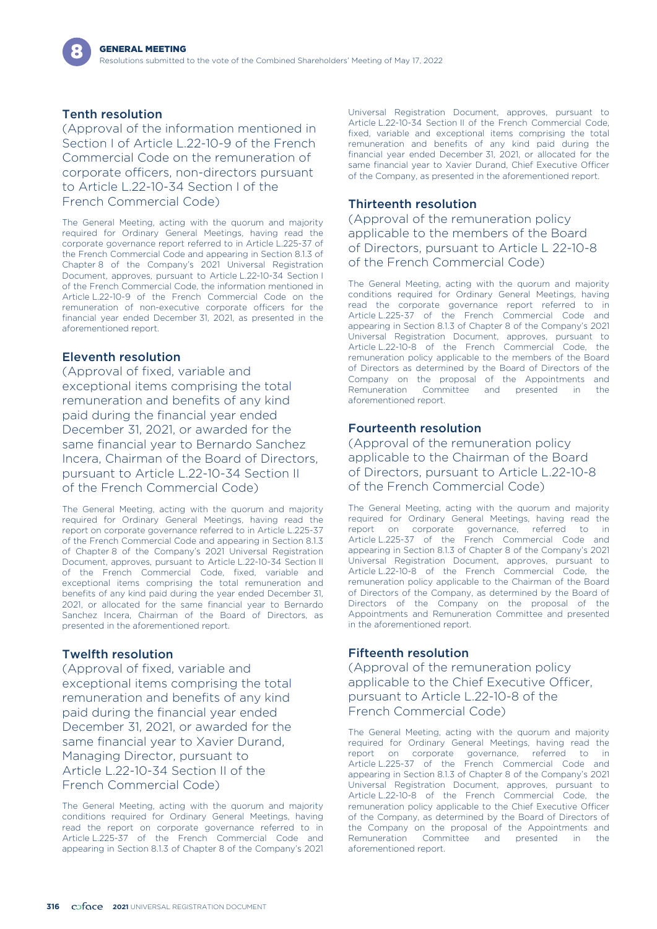## Tenth resolution

(Approval of the information mentioned in Section Lof Article L.22-10-9 of the French Commercial Code on the remuneration of corporate officers, non-directors pursuant to Article L.22-10-34 Section I of the French Commercial Code)

The General Meeting, acting with the quorum and majority required for Ordinary General Meetings, having read the corporate governance report referred to in Article L.225-37 of the French Commercial Code and appearing in Section 8.1.3 of Chapter 8 of the Company's 2021 Universal Registration Document, approves, pursuant to Article L.22-10-34 Section I of the French Commercial Code, the information mentioned in Article L.22-10-9 of the French Commercial Code on the remuneration of non-executive corporate officers for the financial year ended December 31, 2021, as presented in the aforementioned report.

## Eleventh resolution

(Approval of fixed, variable and exceptional items comprising the total remuneration and benefits of any kind paid during the financial year ended December 31, 2021, or awarded for the same financial year to Bernardo Sanchez Incera, Chairman of the Board of Directors, pursuant to Article L.22-10-34 Section II of the French Commercial Code)

The General Meeting, acting with the quorum and majority required for Ordinary General Meetings, having read the report on corporate governance referred to in Article L.225-37 of the French Commercial Code and appearing in Section 8.1.3 of Chapter 8 of the Company's 2021 Universal Registration Document, approves, pursuant to Article L.22-10-34 Section II of the French Commercial Code, fixed, variable and exceptional items comprising the total remuneration and benefits of any kind paid during the year ended December 31, 2021, or allocated for the same financial year to Bernardo Sanchez Incera, Chairman of the Board of Directors, as presented in the aforementioned report.

## Twelfth resolution

(Approval of fixed, variable and exceptional items comprising the total remuneration and benefits of any kind paid during the financial year ended December 31, 2021, or awarded for the same financial year to Xavier Durand, Managing Director, pursuant to Article L.22-10-34 Section II of the French Commercial Code)

The General Meeting, acting with the quorum and majority conditions required for Ordinary General Meetings, having read the report on corporate governance referred to in Article L.225-37 of the French Commercial Code and appearing in Section 8.1.3 of Chapter 8 of the Company's 2021 Universal Registration Document, approves, pursuant to Article L.22-10-34 Section II of the French Commercial Code, fixed, variable and exceptional items comprising the total remuneration and benefits of any kind paid during the financial year ended December 31, 2021, or allocated for the same financial year to Xavier Durand, Chief Executive Officer of the Company, as presented in the aforementioned report.

## Thirteenth resolution

(Approval of the remuneration policy applicable to the members of the Board of Directors, pursuant to Article L 22-10-8 of the French Commercial Code)

The General Meeting, acting with the quorum and majority conditions required for Ordinary General Meetings, having read the corporate governance report referred to in Article L.225-37 of the French Commercial Code and appearing in Section 8.1.3 of Chapter 8 of the Company's 2021 Universal Registration Document, approves, pursuant to Article L.22-10-8 of the French Commercial Code, the remuneration policy applicable to the members of the Board of Directors as determined by the Board of Directors of the Company on the proposal of the Appointments and Remuneration Committee and presented in the aforementioned report.

## Fourteenth resolution

(Approval of the remuneration policy applicable to the Chairman of the Board of Directors, pursuant to Article L.22-10-8 of the French Commercial Code)

The General Meeting, acting with the quorum and majority required for Ordinary General Meetings, having read the report on corporate governance, referred to in Article L.225-37 of the French Commercial Code and appearing in Section 8.1.3 of Chapter 8 of the Company's 2021 Universal Registration Document, approves, pursuant to Article L.22-10-8 of the French Commercial Code, the remuneration policy applicable to the Chairman of the Board of Directors of the Company, as determined by the Board of Directors of the Company on the proposal of the Appointments and Remuneration Committee and presented in the aforementioned report.

## Fifteenth resolution

(Approval of the remuneration policy applicable to the Chief Executive Officer, pursuant to Article L.22-10-8 of the French Commercial Code)

The General Meeting, acting with the quorum and majority required for Ordinary General Meetings, having read the<br>report on corporate governance referred to in corporate governance, referred to in Article L.225-37 of the French Commercial Code and appearing in Section 8.1.3 of Chapter 8 of the Company's 2021 Universal Registration Document, approves, pursuant to Article L.22-10-8 of the French Commercial Code, the remuneration policy applicable to the Chief Executive Officer of the Company, as determined by the Board of Directors of the Company on the proposal of the Appointments and Remuneration Committee and presented in the aforementioned report.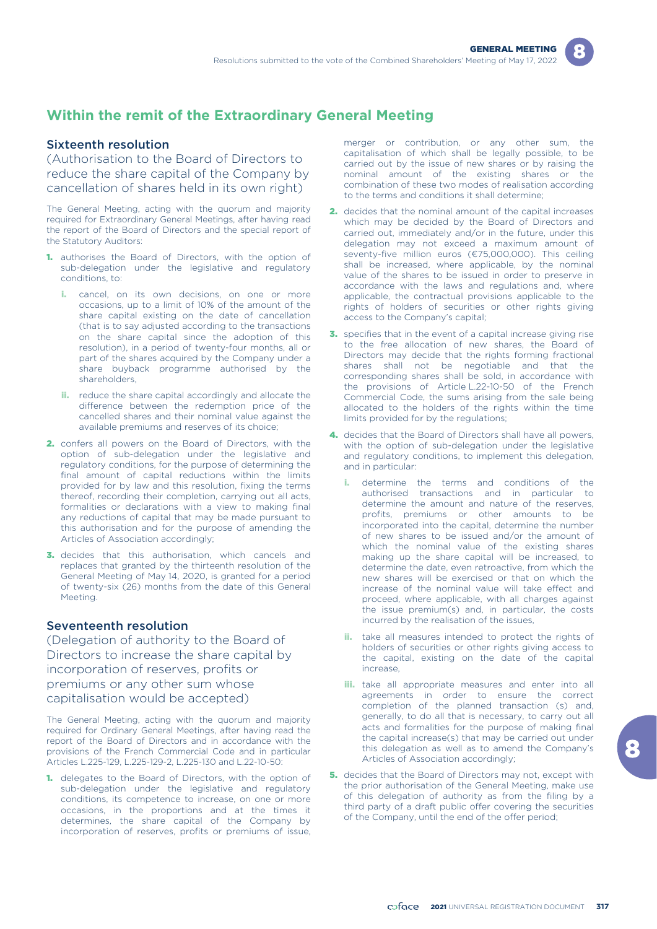

## **Within the remit of the Extraordinary General Meeting**

### Sixteenth resolution

(Authorisation to the Board of Directors to reduce the share capital of the Company by cancellation of shares held in its own right)

The General Meeting, acting with the quorum and majority required for Extraordinary General Meetings, after having read the report of the Board of Directors and the special report of the Statutory Auditors:

- 1. authorises the Board of Directors, with the option of sub-delegation under the legislative and regulatory conditions, to:
	- cancel, on its own decisions, on one or more occasions, up to a limit of 10% of the amount of the share capital existing on the date of cancellation (that is to say adjusted according to the transactions on the share capital since the adoption of this resolution), in a period of twenty-four months, all or part of the shares acquired by the Company under a share buyback programme authorised by the shareholders,
	- ii. reduce the share capital accordingly and allocate the difference between the redemption price of the cancelled shares and their nominal value against the available premiums and reserves of its choice;
- 2. confers all powers on the Board of Directors, with the option of sub-delegation under the legislative and regulatory conditions, for the purpose of determining the final amount of capital reductions within the limits provided for by law and this resolution, fixing the terms thereof, recording their completion, carrying out all acts, formalities or declarations with a view to making final any reductions of capital that may be made pursuant to this authorisation and for the purpose of amending the Articles of Association accordingly;
- 3. decides that this authorisation, which cancels and replaces that granted by the thirteenth resolution of the General Meeting of May 14, 2020, is granted for a period of twenty-six (26) months from the date of this General Meeting.

## Seventeenth resolution

(Delegation of authority to the Board of Directors to increase the share capital by incorporation of reserves, profits or premiums or any other sum whose capitalisation would be accepted)

The General Meeting, acting with the quorum and majority required for Ordinary General Meetings, after having read the report of the Board of Directors and in accordance with the provisions of the French Commercial Code and in particular Articles L.225-129, L.225-129-2, L.225-130 and L.22-10-50:

1. delegates to the Board of Directors, with the option of sub-delegation under the legislative and regulatory conditions, its competence to increase, on one or more occasions, in the proportions and at the times it determines, the share capital of the Company by incorporation of reserves, profits or premiums of issue, merger or contribution, or any other sum, the capitalisation of which shall be legally possible, to be carried out by the issue of new shares or by raising the nominal amount of the existing shares or the combination of these two modes of realisation according to the terms and conditions it shall determine;

- 2. decides that the nominal amount of the capital increases which may be decided by the Board of Directors and carried out, immediately and/or in the future, under this delegation may not exceed a maximum amount of seventy-five million euros (€75,000,000). This ceiling shall be increased, where applicable, by the nominal value of the shares to be issued in order to preserve in accordance with the laws and regulations and, where applicable, the contractual provisions applicable to the rights of holders of securities or other rights giving access to the Company's capital;
- 3. specifies that in the event of a capital increase giving rise to the free allocation of new shares, the Board of Directors may decide that the rights forming fractional shares shall not be negotiable and that the corresponding shares shall be sold, in accordance with the provisions of Article L.22-10-50 of the French Commercial Code, the sums arising from the sale being allocated to the holders of the rights within the time limits provided for by the regulations;
- 4. decides that the Board of Directors shall have all powers, with the option of sub-delegation under the legislative and regulatory conditions, to implement this delegation, and in particular:
	- determine the terms and conditions of the authorised transactions and in particular to determine the amount and nature of the reserves, profits, premiums or other amounts to be incorporated into the capital, determine the number of new shares to be issued and/or the amount of which the nominal value of the existing shares making up the share capital will be increased, to determine the date, even retroactive, from which the new shares will be exercised or that on which the increase of the nominal value will take effect and proceed, where applicable, with all charges against the issue premium(s) and, in particular, the costs incurred by the realisation of the issues,
	- **ii.** take all measures intended to protect the rights of holders of securities or other rights giving access to the capital, existing on the date of the capital increase,
	- **iii.** take all appropriate measures and enter into all agreements in order to ensure the correct completion of the planned transaction (s) and, generally, to do all that is necessary, to carry out all acts and formalities for the purpose of making final the capital increase(s) that may be carried out under this delegation as well as to amend the Company's Articles of Association accordingly;
- **5.** decides that the Board of Directors may not, except with the prior authorisation of the General Meeting, make use of this delegation of authority as from the filing by a third party of a draft public offer covering the securities of the Company, until the end of the offer period;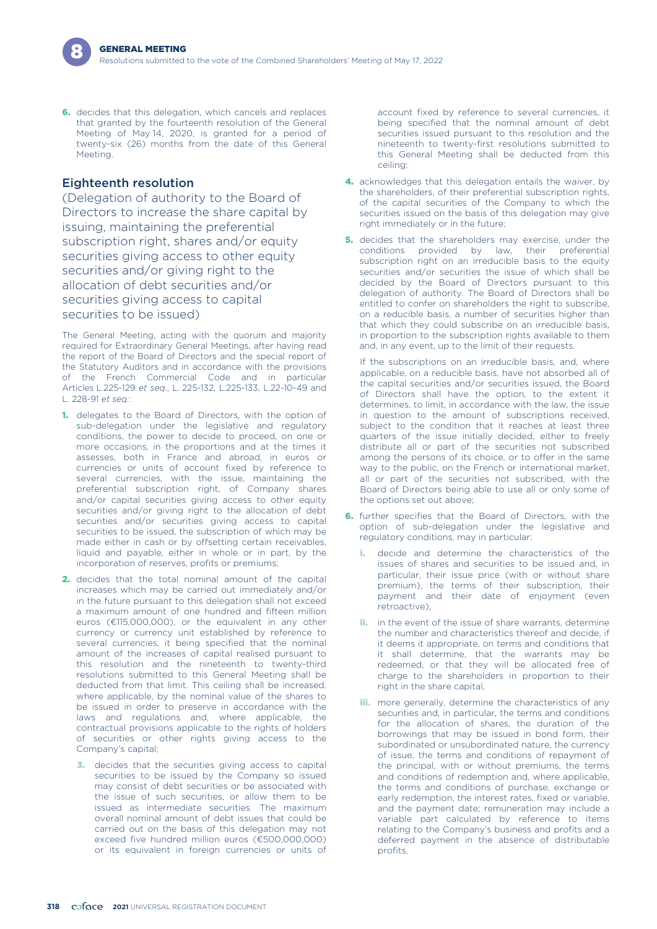6. decides that this delegation, which cancels and replaces that granted by the fourteenth resolution of the General Meeting of May 14, 2020, is granted for a period of twenty-six (26) months from the date of this General Meeting.

#### Eighteenth resolution

(Delegation of authority to the Board of Directors to increase the share capital by issuing, maintaining the preferential subscription right, shares and/or equity securities giving access to other equity securities and/or giving right to the allocation of debt securities and/or securities giving access to capital securities to be issued)

The General Meeting, acting with the quorum and majority required for Extraordinary General Meetings, after having read the report of the Board of Directors and the special report of the Statutory Auditors and in accordance with the provisions of the French Commercial Code and in particular Articles L.225-129 *et seq.*, L. 225-132, L.225-133, L.22-10-49 and L. 228-91 *et seq.*:

- 1. delegates to the Board of Directors, with the option of sub-delegation under the legislative and regulatory conditions, the power to decide to proceed, on one or more occasions, in the proportions and at the times it assesses, both in France and abroad, in euros or currencies or units of account fixed by reference to several currencies, with the issue, maintaining the preferential subscription right, of Company shares and/or capital securities giving access to other equity securities and/or giving right to the allocation of debt securities and/or securities giving access to capital securities to be issued, the subscription of which may be made either in cash or by offsetting certain receivables, liquid and payable, either in whole or in part, by the incorporation of reserves, profits or premiums;
- 2. decides that the total nominal amount of the capital increases which may be carried out immediately and/or in the future pursuant to this delegation shall not exceed a maximum amount of one hundred and fifteen million euros (€115,000,000), or the equivalent in any other currency or currency unit established by reference to several currencies, it being specified that the nominal amount of the increases of capital realised pursuant to this resolution and the nineteenth to twenty-third resolutions submitted to this General Meeting shall be deducted from that limit. This ceiling shall be increased, where applicable, by the nominal value of the shares to be issued in order to preserve in accordance with the laws and regulations and, where applicable, the contractual provisions applicable to the rights of holders of securities or other rights giving access to the Company's capital;
	- **3.** decides that the securities giving access to capital securities to be issued by the Company so issued may consist of debt securities or be associated with the issue of such securities, or allow them to be issued as intermediate securities. The maximum overall nominal amount of debt issues that could be carried out on the basis of this delegation may not exceed five hundred million euros (€500,000,000) or its equivalent in foreign currencies or units of

account fixed by reference to several currencies, it being specified that the nominal amount of debt securities issued pursuant to this resolution and the nineteenth to twenty-first resolutions submitted to this General Meeting shall be deducted from this ceiling;

- 4. acknowledges that this delegation entails the waiver, by the shareholders, of their preferential subscription rights, of the capital securities of the Company to which the securities issued on the basis of this delegation may give right immediately or in the future;
- 5. decides that the shareholders may exercise, under the conditions provided by law, their preferential subscription right on an irreducible basis to the equity securities and/or securities the issue of which shall be decided by the Board of Directors pursuant to this delegation of authority. The Board of Directors shall be entitled to confer on shareholders the right to subscribe, on a reducible basis, a number of securities higher than that which they could subscribe on an irreducible basis, in proportion to the subscription rights available to them and, in any event, up to the limit of their requests.

If the subscriptions on an irreducible basis, and, where applicable, on a reducible basis, have not absorbed all of the capital securities and/or securities issued, the Board of Directors shall have the option, to the extent it determines, to limit, in accordance with the law, the issue in question to the amount of subscriptions received, subject to the condition that it reaches at least three quarters of the issue initially decided, either to freely distribute all or part of the securities not subscribed among the persons of its choice, or to offer in the same way to the public, on the French or international market, all or part of the securities not subscribed, with the Board of Directors being able to use all or only some of the options set out above;

- **6.** further specifies that the Board of Directors, with the option of sub-delegation under the legislative and regulatory conditions, may in particular:
	- decide and determine the characteristics of the issues of shares and securities to be issued and, in particular, their issue price (with or without share premium), the terms of their subscription, their payment and their date of enjoyment (even retroactive),
	- **ii.** in the event of the issue of share warrants, determine the number and characteristics thereof and decide, if it deems it appropriate, on terms and conditions that it shall determine, that the warrants may be redeemed, or that they will be allocated free of charge to the shareholders in proportion to their right in the share capital,
	- **iii.** more generally, determine the characteristics of any securities and, in particular, the terms and conditions for the allocation of shares, the duration of the borrowings that may be issued in bond form, their subordinated or unsubordinated nature, the currency of issue, the terms and conditions of repayment of the principal, with or without premiums, the terms and conditions of redemption and, where applicable, the terms and conditions of purchase, exchange or early redemption, the interest rates, fixed or variable, and the payment date; remuneration may include a variable part calculated by reference to items relating to the Company's business and profits and a deferred payment in the absence of distributable profits,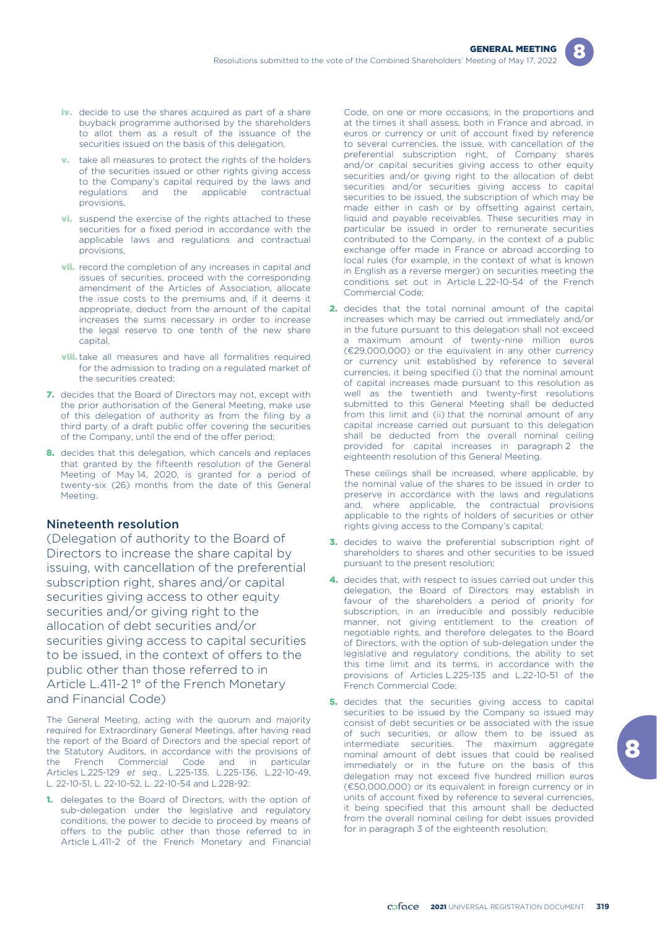- iv. decide to use the shares acquired as part of a share buyback programme authorised by the shareholders to allot them as a result of the issuance of the securities issued on the basis of this delegation,
- **v.** take all measures to protect the rights of the holders of the securities issued or other rights giving access to the Company's capital required by the laws and regulations and the applicable contractual provisions,
- **vi.** suspend the exercise of the rights attached to these securities for a fixed period in accordance with the applicable laws and regulations and contractual provisions,
- **vii.** record the completion of any increases in capital and issues of securities, proceed with the corresponding amendment of the Articles of Association, allocate the issue costs to the premiums and, if it deems it appropriate, deduct from the amount of the capital increases the sums necessary in order to increase the legal reserve to one tenth of the new share capital,
- **viii.** take all measures and have all formalities required for the admission to trading on a regulated market of the securities created;
- 7. decides that the Board of Directors may not, except with the prior authorisation of the General Meeting, make use of this delegation of authority as from the filing by a third party of a draft public offer covering the securities of the Company, until the end of the offer period;
- 8. decides that this delegation, which cancels and replaces that granted by the fifteenth resolution of the General Meeting of May 14, 2020, is granted for a period of twenty-six (26) months from the date of this General Meeting.

### Nineteenth resolution

(Delegation of authority to the Board of Directors to increase the share capital by issuing, with cancellation of the preferential subscription right, shares and/or capital securities giving access to other equity securities and/or giving right to the allocation of debt securities and/or securities giving access to capital securities to be issued, in the context of offers to the public other than those referred to in Article L.411-2 1° of the French Monetary and Financial Code)

The General Meeting, acting with the quorum and majority required for Extraordinary General Meetings, after having read the report of the Board of Directors and the special report of the Statutory Auditors, in accordance with the provisions of the French Commercial Code and in particular Articles L.225-129 *et seq.*, L.225-135, L.225-136, L.22-10-49, L. 22-10-51, L. 22-10-52, L. 22-10-54 and L.228-92:

1. delegates to the Board of Directors, with the option of sub-delegation under the legislative and regulatory conditions, the power to decide to proceed by means of offers to the public other than those referred to in Article L.411-2 of the French Monetary and Financial

Code, on one or more occasions, in the proportions and at the times it shall assess, both in France and abroad, in euros or currency or unit of account fixed by reference to several currencies, the issue, with cancellation of the preferential subscription right, of Company shares and/or capital securities giving access to other equity securities and/or giving right to the allocation of debt securities and/or securities giving access to capital securities to be issued, the subscription of which may be made either in cash or by offsetting against certain, liquid and payable receivables. These securities may in particular be issued in order to remunerate securities contributed to the Company, in the context of a public exchange offer made in France or abroad according to local rules (for example, in the context of what is known in English as a reverse merger) on securities meeting the conditions set out in Article L.22-10-54 of the French Commercial Code;

2. decides that the total nominal amount of the capital increases which may be carried out immediately and/or in the future pursuant to this delegation shall not exceed a maximum amount of twenty-nine million euros (€29,000,000) or the equivalent in any other currency or currency unit established by reference to several currencies, it being specified (i) that the nominal amount of capital increases made pursuant to this resolution as well as the twentieth and twenty-first resolutions submitted to this General Meeting shall be deducted from this limit and (ii) that the nominal amount of any capital increase carried out pursuant to this delegation shall be deducted from the overall nominal ceiling provided for capital increases in paragraph 2 the eighteenth resolution of this General Meeting.

These ceilings shall be increased, where applicable, by the nominal value of the shares to be issued in order to preserve in accordance with the laws and regulations and, where applicable, the contractual provisions applicable to the rights of holders of securities or other rights giving access to the Company's capital;

- 3. decides to waive the preferential subscription right of shareholders to shares and other securities to be issued pursuant to the present resolution;
- 4. decides that, with respect to issues carried out under this delegation, the Board of Directors may establish in favour of the shareholders a period of priority for subscription, in an irreducible and possibly reducible manner, not giving entitlement to the creation of negotiable rights, and therefore delegates to the Board of Directors, with the option of sub-delegation under the legislative and regulatory conditions, the ability to set this time limit and its terms, in accordance with the provisions of Articles L.225-135 and L.22-10-51 of the French Commercial Code;
- **5.** decides that the securities giving access to capital securities to be issued by the Company so issued may consist of debt securities or be associated with the issue of such securities, or allow them to be issued as intermediate securities. The maximum aggregate nominal amount of debt issues that could be realised immediately or in the future on the basis of this delegation may not exceed five hundred million euros (€50,000,000) or its equivalent in foreign currency or in units of account fixed by reference to several currencies, it being specified that this amount shall be deducted from the overall nominal ceiling for debt issues provided for in paragraph 3 of the eighteenth resolution;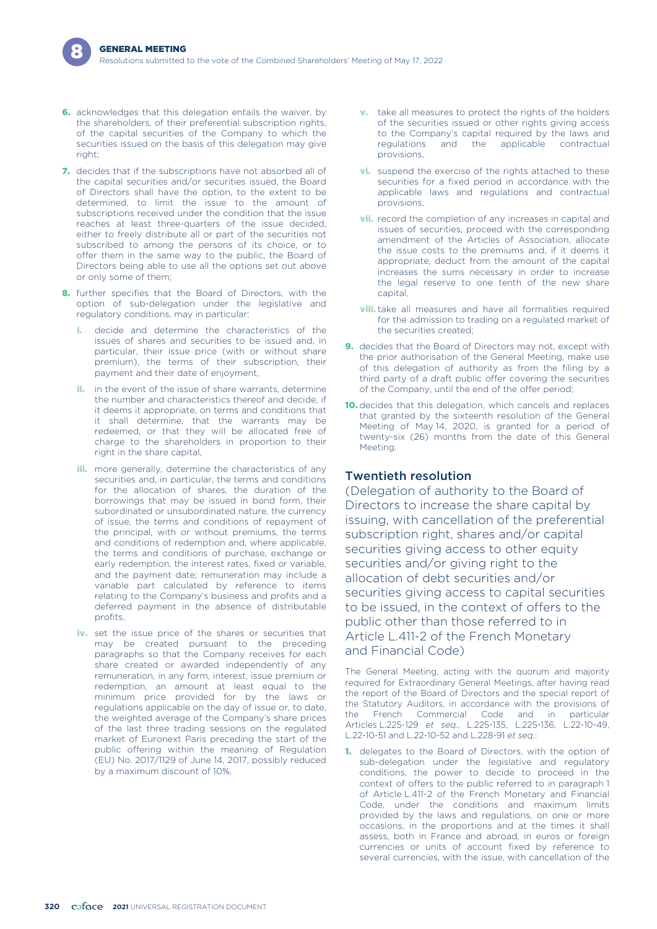- 6. acknowledges that this delegation entails the waiver, by the shareholders, of their preferential subscription rights, of the capital securities of the Company to which the securities issued on the basis of this delegation may give right;
- 7. decides that if the subscriptions have not absorbed all of the capital securities and/or securities issued, the Board of Directors shall have the option, to the extent to be determined, to limit the issue to the amount of subscriptions received under the condition that the issue reaches at least three-quarters of the issue decided, either to freely distribute all or part of the securities not subscribed to among the persons of its choice, or to offer them in the same way to the public, the Board of Directors being able to use all the options set out above or only some of them;
- 8. further specifies that the Board of Directors, with the option of sub-delegation under the legislative and regulatory conditions, may in particular:
	- i. decide and determine the characteristics of the issues of shares and securities to be issued and, in particular, their issue price (with or without share premium), the terms of their subscription, their payment and their date of enjoyment,
	- **ii.** in the event of the issue of share warrants, determine the number and characteristics thereof and decide, if it deems it appropriate, on terms and conditions that it shall determine, that the warrants may be redeemed, or that they will be allocated free of charge to the shareholders in proportion to their right in the share capital,
	- **iii.** more generally, determine the characteristics of any securities and, in particular, the terms and conditions for the allocation of shares, the duration of the borrowings that may be issued in bond form, their subordinated or unsubordinated nature, the currency of issue, the terms and conditions of repayment of the principal, with or without premiums, the terms and conditions of redemption and, where applicable, the terms and conditions of purchase, exchange or early redemption, the interest rates, fixed or variable, and the payment date; remuneration may include a variable part calculated by reference to items relating to the Company's business and profits and a deferred payment in the absence of distributable profits
	- iv. set the issue price of the shares or securities that may be created pursuant to the preceding paragraphs so that the Company receives for each share created or awarded independently of any remuneration, in any form, interest, issue premium or redemption, an amount at least equal to the minimum price provided for by the laws or regulations applicable on the day of issue or, to date, the weighted average of the Company's share prices of the last three trading sessions on the regulated market of Euronext Paris preceding the start of the public offering within the meaning of Regulation (EU) No. 2017/1129 of June 14, 2017, possibly reduced by a maximum discount of 10%,
- **v.** take all measures to protect the rights of the holders of the securities issued or other rights giving access to the Company's capital required by the laws and regulations and the applicable contractual provisions,
- **vi.** suspend the exercise of the rights attached to these securities for a fixed period in accordance with the applicable laws and regulations and contractual provisions,
- **vii.** record the completion of any increases in capital and issues of securities, proceed with the corresponding amendment of the Articles of Association, allocate the issue costs to the premiums and, if it deems it appropriate, deduct from the amount of the capital increases the sums necessary in order to increase the legal reserve to one tenth of the new share capital,
- **viii.** take all measures and have all formalities required for the admission to trading on a regulated market of the securities created;
- 9. decides that the Board of Directors may not, except with the prior authorisation of the General Meeting, make use of this delegation of authority as from the filing by a third party of a draft public offer covering the securities of the Company, until the end of the offer period;
- 10. decides that this delegation, which cancels and replaces that granted by the sixteenth resolution of the General Meeting of May 14, 2020, is granted for a period of twenty-six (26) months from the date of this General Meeting.

## Twentieth resolution

(Delegation of authority to the Board of Directors to increase the share capital by issuing, with cancellation of the preferential subscription right, shares and/or capital securities giving access to other equity securities and/or giving right to the allocation of debt securities and/or securities giving access to capital securities to be issued, in the context of offers to the public other than those referred to in Article L.411-2 of the French Monetary and Financial Code)

The General Meeting, acting with the quorum and majority required for Extraordinary General Meetings, after having read the report of the Board of Directors and the special report of the Statutory Auditors, in accordance with the provisions of the French Commercial Code and in particular Articles L.225-129 *et seq.*, L.225-135, L.225-136, L.22-10-49, L.22-10-51 and L.22-10-52 and L.228-91 *et seq.*:

1. delegates to the Board of Directors, with the option of sub-delegation under the legislative and regulatory conditions, the power to decide to proceed in the context of offers to the public referred to in paragraph 1 of Article L.411-2 of the French Monetary and Financial Code, under the conditions and maximum limits provided by the laws and regulations, on one or more occasions, in the proportions and at the times it shall assess, both in France and abroad, in euros or foreign currencies or units of account fixed by reference to several currencies, with the issue, with cancellation of the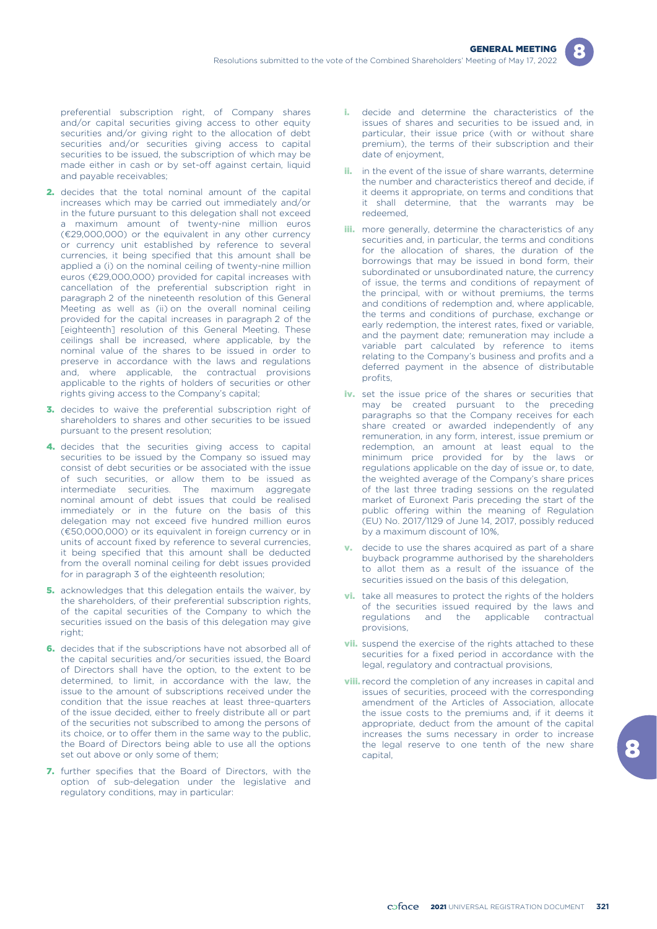

preferential subscription right, of Company shares and/or capital securities giving access to other equity securities and/or giving right to the allocation of debt securities and/or securities giving access to capital securities to be issued, the subscription of which may be made either in cash or by set-off against certain, liquid and payable receivables;

- 2. decides that the total nominal amount of the capital increases which may be carried out immediately and/or in the future pursuant to this delegation shall not exceed a maximum amount of twenty-nine million euros (€29,000,000) or the equivalent in any other currency or currency unit established by reference to several currencies, it being specified that this amount shall be applied a (i) on the nominal ceiling of twenty-nine million euros (€29,000,000) provided for capital increases with cancellation of the preferential subscription right in paragraph 2 of the nineteenth resolution of this General Meeting as well as (ii) on the overall nominal ceiling provided for the capital increases in paragraph 2 of the [eighteenth] resolution of this General Meeting. These ceilings shall be increased, where applicable, by the nominal value of the shares to be issued in order to preserve in accordance with the laws and regulations and, where applicable, the contractual provisions applicable to the rights of holders of securities or other rights giving access to the Company's capital;
- 3. decides to waive the preferential subscription right of shareholders to shares and other securities to be issued pursuant to the present resolution;
- 4. decides that the securities giving access to capital securities to be issued by the Company so issued may consist of debt securities or be associated with the issue of such securities, or allow them to be issued as intermediate securities. The maximum aggregate nominal amount of debt issues that could be realised immediately or in the future on the basis of this delegation may not exceed five hundred million euros (€50,000,000) or its equivalent in foreign currency or in units of account fixed by reference to several currencies, it being specified that this amount shall be deducted from the overall nominal ceiling for debt issues provided for in paragraph 3 of the eighteenth resolution;
- 5. acknowledges that this delegation entails the waiver, by the shareholders, of their preferential subscription rights, of the capital securities of the Company to which the securities issued on the basis of this delegation may give right;
- 6. decides that if the subscriptions have not absorbed all of the capital securities and/or securities issued, the Board of Directors shall have the option, to the extent to be determined, to limit, in accordance with the law, the issue to the amount of subscriptions received under the condition that the issue reaches at least three-quarters of the issue decided, either to freely distribute all or part of the securities not subscribed to among the persons of its choice, or to offer them in the same way to the public, the Board of Directors being able to use all the options set out above or only some of them;
- 7. further specifies that the Board of Directors, with the option of sub-delegation under the legislative and regulatory conditions, may in particular:
- i. decide and determine the characteristics of the issues of shares and securities to be issued and, in particular, their issue price (with or without share premium), the terms of their subscription and their date of enjoyment,
- ii. in the event of the issue of share warrants, determine the number and characteristics thereof and decide, if it deems it appropriate, on terms and conditions that it shall determine, that the warrants may be redeemed,
- **iii.** more generally, determine the characteristics of any securities and, in particular, the terms and conditions for the allocation of shares, the duration of the borrowings that may be issued in bond form, their subordinated or unsubordinated nature, the currency of issue, the terms and conditions of repayment of the principal, with or without premiums, the terms and conditions of redemption and, where applicable, the terms and conditions of purchase, exchange or early redemption, the interest rates, fixed or variable, and the payment date; remuneration may include a variable part calculated by reference to items relating to the Company's business and profits and a deferred payment in the absence of distributable profits,
- iv. set the issue price of the shares or securities that may be created pursuant to the preceding paragraphs so that the Company receives for each share created or awarded independently of any remuneration, in any form, interest, issue premium or redemption, an amount at least equal to the minimum price provided for by the laws or regulations applicable on the day of issue or, to date, the weighted average of the Company's share prices of the last three trading sessions on the regulated market of Euronext Paris preceding the start of the public offering within the meaning of Regulation (EU) No. 2017/1129 of June 14, 2017, possibly reduced by a maximum discount of 10%,
- v. decide to use the shares acquired as part of a share buyback programme authorised by the shareholders to allot them as a result of the issuance of the securities issued on the basis of this delegation,
- vi. take all measures to protect the rights of the holders of the securities issued required by the laws and regulations and the applicable contractual provisions,
- **vii.** suspend the exercise of the rights attached to these securities for a fixed period in accordance with the legal, regulatory and contractual provisions,
- **viii.** record the completion of any increases in capital and issues of securities, proceed with the corresponding amendment of the Articles of Association, allocate the issue costs to the premiums and, if it deems it appropriate, deduct from the amount of the capital increases the sums necessary in order to increase the legal reserve to one tenth of the new share capital,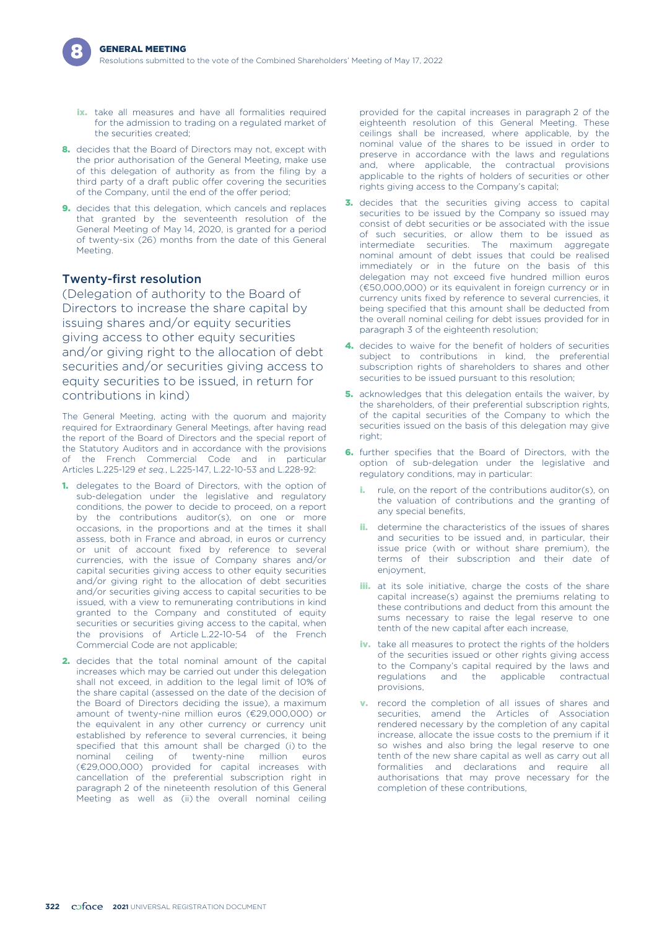- ix. take all measures and have all formalities required for the admission to trading on a regulated market of the securities created;
- 8. decides that the Board of Directors may not, except with the prior authorisation of the General Meeting, make use of this delegation of authority as from the filing by a third party of a draft public offer covering the securities of the Company, until the end of the offer period;
- 9. decides that this delegation, which cancels and replaces that granted by the seventeenth resolution of the General Meeting of May 14, 2020, is granted for a period of twenty-six (26) months from the date of this General Meeting.

#### Twenty-first resolution

(Delegation of authority to the Board of Directors to increase the share capital by issuing shares and/or equity securities giving access to other equity securities and/or giving right to the allocation of debt securities and/or securities giving access to equity securities to be issued, in return for contributions in kind)

The General Meeting, acting with the quorum and majority required for Extraordinary General Meetings, after having read the report of the Board of Directors and the special report of the Statutory Auditors and in accordance with the provisions of the French Commercial Code and in particular Articles L.225-129 *et seq.*, L.225-147, L.22-10-53 and L.228-92:

- 1. delegates to the Board of Directors, with the option of sub-delegation under the legislative and regulatory conditions, the power to decide to proceed, on a report by the contributions auditor(s), on one or more occasions, in the proportions and at the times it shall assess, both in France and abroad, in euros or currency or unit of account fixed by reference to several currencies, with the issue of Company shares and/or capital securities giving access to other equity securities and/or giving right to the allocation of debt securities and/or securities giving access to capital securities to be issued, with a view to remunerating contributions in kind granted to the Company and constituted of equity securities or securities giving access to the capital, when the provisions of Article L.22-10-54 of the French Commercial Code are not applicable;
- 2. decides that the total nominal amount of the capital increases which may be carried out under this delegation shall not exceed, in addition to the legal limit of 10% of the share capital (assessed on the date of the decision of the Board of Directors deciding the issue), a maximum amount of twenty-nine million euros (€29,000,000) or the equivalent in any other currency or currency unit established by reference to several currencies, it being specified that this amount shall be charged (i) to the nominal ceiling of twenty-nine million euros (€29,000,000) provided for capital increases with cancellation of the preferential subscription right in paragraph 2 of the nineteenth resolution of this General Meeting as well as (ii) the overall nominal ceiling

provided for the capital increases in paragraph 2 of the eighteenth resolution of this General Meeting. These ceilings shall be increased, where applicable, by the nominal value of the shares to be issued in order to preserve in accordance with the laws and regulations and, where applicable, the contractual provisions applicable to the rights of holders of securities or other rights giving access to the Company's capital;

- 3. decides that the securities giving access to capital securities to be issued by the Company so issued may consist of debt securities or be associated with the issue of such securities, or allow them to be issued as intermediate securities. The maximum aggregate nominal amount of debt issues that could be realised immediately or in the future on the basis of this delegation may not exceed five hundred million euros (€50,000,000) or its equivalent in foreign currency or in currency units fixed by reference to several currencies, it being specified that this amount shall be deducted from the overall nominal ceiling for debt issues provided for in paragraph 3 of the eighteenth resolution;
- 4. decides to waive for the benefit of holders of securities subject to contributions in kind, the preferential subscription rights of shareholders to shares and other securities to be issued pursuant to this resolution;
- **5.** acknowledges that this delegation entails the waiver, by the shareholders, of their preferential subscription rights, of the capital securities of the Company to which the securities issued on the basis of this delegation may give right<sup>;</sup>
- 6. further specifies that the Board of Directors, with the option of sub-delegation under the legislative and regulatory conditions, may in particular:
	- rule, on the report of the contributions auditor(s), on the valuation of contributions and the granting of any special benefits,
	- ii. determine the characteristics of the issues of shares and securities to be issued and, in particular, their issue price (with or without share premium), the terms of their subscription and their date of enjoyment,
	- **iii.** at its sole initiative, charge the costs of the share capital increase(s) against the premiums relating to these contributions and deduct from this amount the sums necessary to raise the legal reserve to one tenth of the new capital after each increase,
	- iv. take all measures to protect the rights of the holders of the securities issued or other rights giving access to the Company's capital required by the laws and regulations and the applicable contractual provisions,
	- **v.** record the completion of all issues of shares and securities, amend the Articles of Association rendered necessary by the completion of any capital increase, allocate the issue costs to the premium if it so wishes and also bring the legal reserve to one tenth of the new share capital as well as carry out all formalities and declarations and require all authorisations that may prove necessary for the completion of these contributions,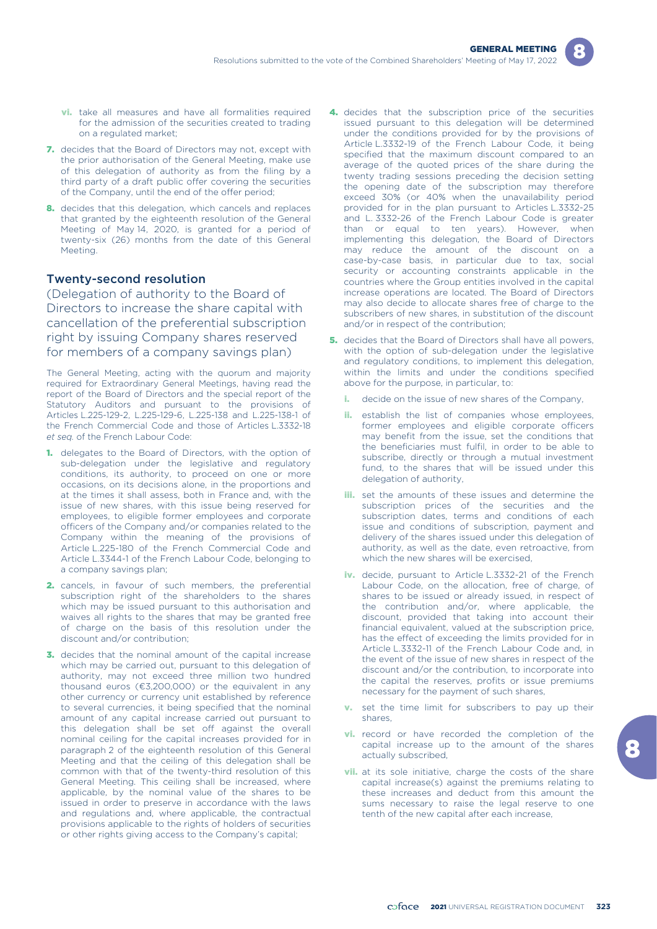- **vi.** take all measures and have all formalities required for the admission of the securities created to trading on a regulated market;
- 7. decides that the Board of Directors may not, except with the prior authorisation of the General Meeting, make use of this delegation of authority as from the filing by a third party of a draft public offer covering the securities of the Company, until the end of the offer period;
- 8. decides that this delegation, which cancels and replaces that granted by the eighteenth resolution of the General Meeting of May 14, 2020, is granted for a period of twenty-six (26) months from the date of this General Meeting.

#### Twenty-second resolution

(Delegation of authority to the Board of Directors to increase the share capital with cancellation of the preferential subscription right by issuing Company shares reserved for members of a company savings plan)

The General Meeting, acting with the quorum and majority required for Extraordinary General Meetings, having read the report of the Board of Directors and the special report of the Statutory Auditors and pursuant to the provisions of Articles L.225-129-2, L.225-129-6, L.225-138 and L.225-138-1 of the French Commercial Code and those of Articles L.3332-18 *et seq.* of the French Labour Code:

- 1. delegates to the Board of Directors, with the option of sub-delegation under the legislative and regulatory conditions, its authority, to proceed on one or more occasions, on its decisions alone, in the proportions and at the times it shall assess, both in France and, with the issue of new shares, with this issue being reserved for employees, to eligible former employees and corporate officers of the Company and/or companies related to the Company within the meaning of the provisions of Article L.225-180 of the French Commercial Code and Article L.3344-1 of the French Labour Code, belonging to a company savings plan;
- 2. cancels, in favour of such members, the preferential subscription right of the shareholders to the shares which may be issued pursuant to this authorisation and waives all rights to the shares that may be granted free of charge on the basis of this resolution under the discount and/or contribution;
- **3.** decides that the nominal amount of the capital increase which may be carried out, pursuant to this delegation of authority, may not exceed three million two hundred thousand euros (€3,200,000) or the equivalent in any other currency or currency unit established by reference to several currencies, it being specified that the nominal amount of any capital increase carried out pursuant to this delegation shall be set off against the overall nominal ceiling for the capital increases provided for in paragraph 2 of the eighteenth resolution of this General Meeting and that the ceiling of this delegation shall be common with that of the twenty-third resolution of this General Meeting. This ceiling shall be increased, where applicable, by the nominal value of the shares to be issued in order to preserve in accordance with the laws and regulations and, where applicable, the contractual provisions applicable to the rights of holders of securities or other rights giving access to the Company's capital;
- 4. decides that the subscription price of the securities issued pursuant to this delegation will be determined under the conditions provided for by the provisions of Article L.3332-19 of the French Labour Code, it being specified that the maximum discount compared to an average of the quoted prices of the share during the twenty trading sessions preceding the decision setting the opening date of the subscription may therefore exceed 30% (or 40% when the unavailability period provided for in the plan pursuant to Articles L.3332-25 and L. 3332-26 of the French Labour Code is greater than or equal to ten years). However, when implementing this delegation, the Board of Directors may reduce the amount of the discount on a case-by-case basis, in particular due to tax, social security or accounting constraints applicable in the countries where the Group entities involved in the capital increase operations are located. The Board of Directors may also decide to allocate shares free of charge to the subscribers of new shares, in substitution of the discount and/or in respect of the contribution;
- **5.** decides that the Board of Directors shall have all powers, with the option of sub-delegation under the legislative and regulatory conditions, to implement this delegation, within the limits and under the conditions specified above for the purpose, in particular, to:
	- i. decide on the issue of new shares of the Company,
	- establish the list of companies whose employees, former employees and eligible corporate officers may benefit from the issue, set the conditions that the beneficiaries must fulfil, in order to be able to subscribe, directly or through a mutual investment fund, to the shares that will be issued under this delegation of authority,
	- **iii.** set the amounts of these issues and determine the subscription prices of the securities and the subscription dates, terms and conditions of each issue and conditions of subscription, payment and delivery of the shares issued under this delegation of authority, as well as the date, even retroactive, from which the new shares will be exercised,
	- iv. decide, pursuant to Article L.3332-21 of the French Labour Code, on the allocation, free of charge, of shares to be issued or already issued, in respect of the contribution and/or, where applicable, the discount, provided that taking into account their financial equivalent, valued at the subscription price, has the effect of exceeding the limits provided for in Article L.3332-11 of the French Labour Code and, in the event of the issue of new shares in respect of the discount and/or the contribution, to incorporate into the capital the reserves, profits or issue premiums necessary for the payment of such shares,
	- v. set the time limit for subscribers to pay up their shares,
	- **vi.** record or have recorded the completion of the capital increase up to the amount of the shares actually subscribed,
	- **vii.** at its sole initiative, charge the costs of the share capital increase(s) against the premiums relating to these increases and deduct from this amount the sums necessary to raise the legal reserve to one tenth of the new capital after each increase,

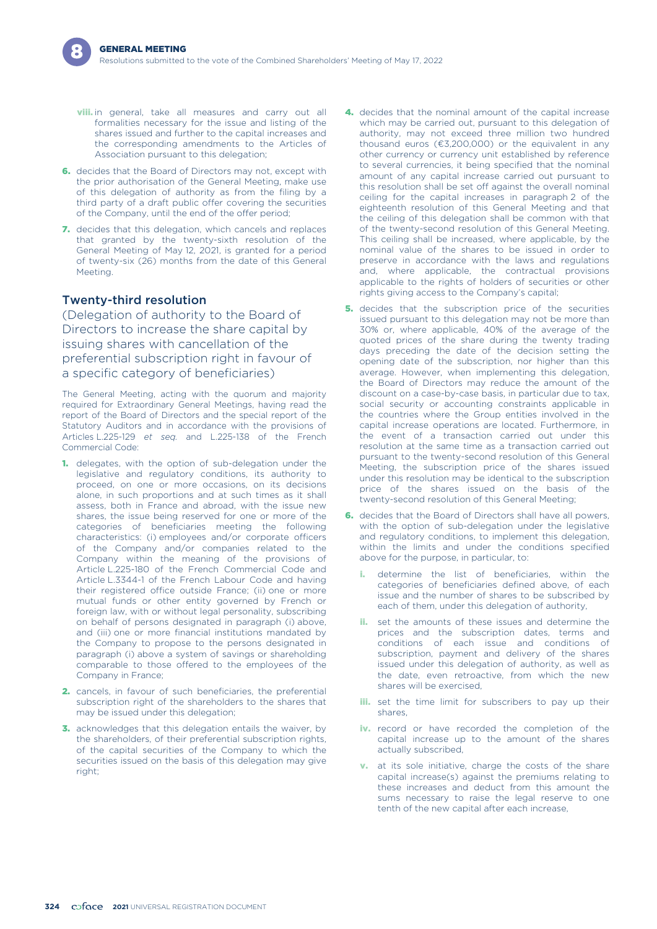- **viii.** in general, take all measures and carry out all formalities necessary for the issue and listing of the shares issued and further to the capital increases and the corresponding amendments to the Articles of Association pursuant to this delegation;
- 6. decides that the Board of Directors may not, except with the prior authorisation of the General Meeting, make use of this delegation of authority as from the filing by a third party of a draft public offer covering the securities of the Company, until the end of the offer period;
- 7. decides that this delegation, which cancels and replaces that granted by the twenty-sixth resolution of the General Meeting of May 12, 2021, is granted for a period of twenty-six (26) months from the date of this General Meeting.

## Twenty-third resolution

(Delegation of authority to the Board of Directors to increase the share capital by issuing shares with cancellation of the preferential subscription right in favour of a specific category of beneficiaries)

The General Meeting, acting with the quorum and majority required for Extraordinary General Meetings, having read the report of the Board of Directors and the special report of the Statutory Auditors and in accordance with the provisions of Articles L.225-129 *et seq.* and L.225-138 of the French Commercial Code:

- 1. delegates, with the option of sub-delegation under the legislative and regulatory conditions, its authority to proceed, on one or more occasions, on its decisions alone, in such proportions and at such times as it shall assess, both in France and abroad, with the issue new shares, the issue being reserved for one or more of the categories of beneficiaries meeting the following characteristics: (i) employees and/or corporate officers of the Company and/or companies related to the Company within the meaning of the provisions of Article L.225-180 of the French Commercial Code and Article L.3344-1 of the French Labour Code and having their registered office outside France; (ii) one or more mutual funds or other entity governed by French or foreign law, with or without legal personality, subscribing on behalf of persons designated in paragraph (i) above, and (iii) one or more financial institutions mandated by the Company to propose to the persons designated in paragraph (i) above a system of savings or shareholding comparable to those offered to the employees of the Company in France;
- 2. cancels, in favour of such beneficiaries, the preferential subscription right of the shareholders to the shares that may be issued under this delegation;
- 3. acknowledges that this delegation entails the waiver, by the shareholders, of their preferential subscription rights, of the capital securities of the Company to which the securities issued on the basis of this delegation may give right:
- 4. decides that the nominal amount of the capital increase which may be carried out, pursuant to this delegation of authority, may not exceed three million two hundred thousand euros (€3,200,000) or the equivalent in any other currency or currency unit established by reference to several currencies, it being specified that the nominal amount of any capital increase carried out pursuant to this resolution shall be set off against the overall nominal ceiling for the capital increases in paragraph 2 of the eighteenth resolution of this General Meeting and that the ceiling of this delegation shall be common with that of the twenty-second resolution of this General Meeting. This ceiling shall be increased, where applicable, by the nominal value of the shares to be issued in order to preserve in accordance with the laws and regulations and, where applicable, the contractual provisions applicable to the rights of holders of securities or other rights giving access to the Company's capital;
- 5. decides that the subscription price of the securities issued pursuant to this delegation may not be more than 30% or, where applicable, 40% of the average of the quoted prices of the share during the twenty trading days preceding the date of the decision setting the opening date of the subscription, nor higher than this average. However, when implementing this delegation, the Board of Directors may reduce the amount of the discount on a case-by-case basis, in particular due to tax, social security or accounting constraints applicable in the countries where the Group entities involved in the capital increase operations are located. Furthermore, in the event of a transaction carried out under this resolution at the same time as a transaction carried out pursuant to the twenty-second resolution of this General Meeting, the subscription price of the shares issued under this resolution may be identical to the subscription price of the shares issued on the basis of the twenty-second resolution of this General Meeting;
- **6.** decides that the Board of Directors shall have all powers, with the option of sub-delegation under the legislative and regulatory conditions, to implement this delegation, within the limits and under the conditions specified above for the purpose, in particular, to:
	- i. determine the list of beneficiaries, within the categories of beneficiaries defined above, of each issue and the number of shares to be subscribed by each of them, under this delegation of authority,
	- **ii.** set the amounts of these issues and determine the prices and the subscription dates, terms and conditions of each issue and conditions of subscription, payment and delivery of the shares issued under this delegation of authority, as well as the date, even retroactive, from which the new shares will be exercised,
	- **iii.** set the time limit for subscribers to pay up their shares,
	- iv. record or have recorded the completion of the capital increase up to the amount of the shares actually subscribed,
	- v. at its sole initiative, charge the costs of the share capital increase(s) against the premiums relating to these increases and deduct from this amount the sums necessary to raise the legal reserve to one tenth of the new capital after each increase,